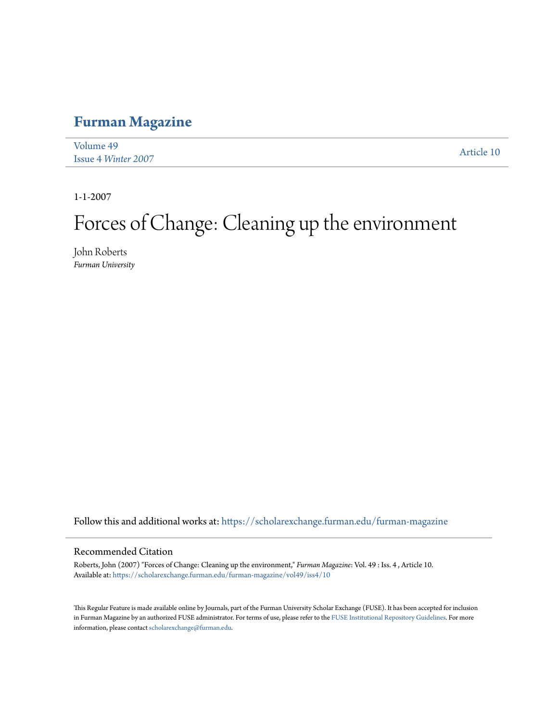### **[Furman Magazine](https://scholarexchange.furman.edu/furman-magazine?utm_source=scholarexchange.furman.edu%2Ffurman-magazine%2Fvol49%2Fiss4%2F10&utm_medium=PDF&utm_campaign=PDFCoverPages)**

| Volume 49           |            |
|---------------------|------------|
| Issue 4 Winter 2007 | Article 10 |

1-1-2007

# Forces of Change: Cleaning up the environment

John Roberts *Furman University*

Follow this and additional works at: [https://scholarexchange.furman.edu/furman-magazine](https://scholarexchange.furman.edu/furman-magazine?utm_source=scholarexchange.furman.edu%2Ffurman-magazine%2Fvol49%2Fiss4%2F10&utm_medium=PDF&utm_campaign=PDFCoverPages)

#### Recommended Citation

Roberts, John (2007) "Forces of Change: Cleaning up the environment," *Furman Magazine*: Vol. 49 : Iss. 4 , Article 10. Available at: [https://scholarexchange.furman.edu/furman-magazine/vol49/iss4/10](https://scholarexchange.furman.edu/furman-magazine/vol49/iss4/10?utm_source=scholarexchange.furman.edu%2Ffurman-magazine%2Fvol49%2Fiss4%2F10&utm_medium=PDF&utm_campaign=PDFCoverPages)

This Regular Feature is made available online by Journals, part of the Furman University Scholar Exchange (FUSE). It has been accepted for inclusion in Furman Magazine by an authorized FUSE administrator. For terms of use, please refer to the [FUSE Institutional Repository Guidelines](http:/scholarexchange.furman.edu/lib-records/1/). For more information, please contact [scholarexchange@furman.edu.](mailto:scholarexchange@furman.edu)